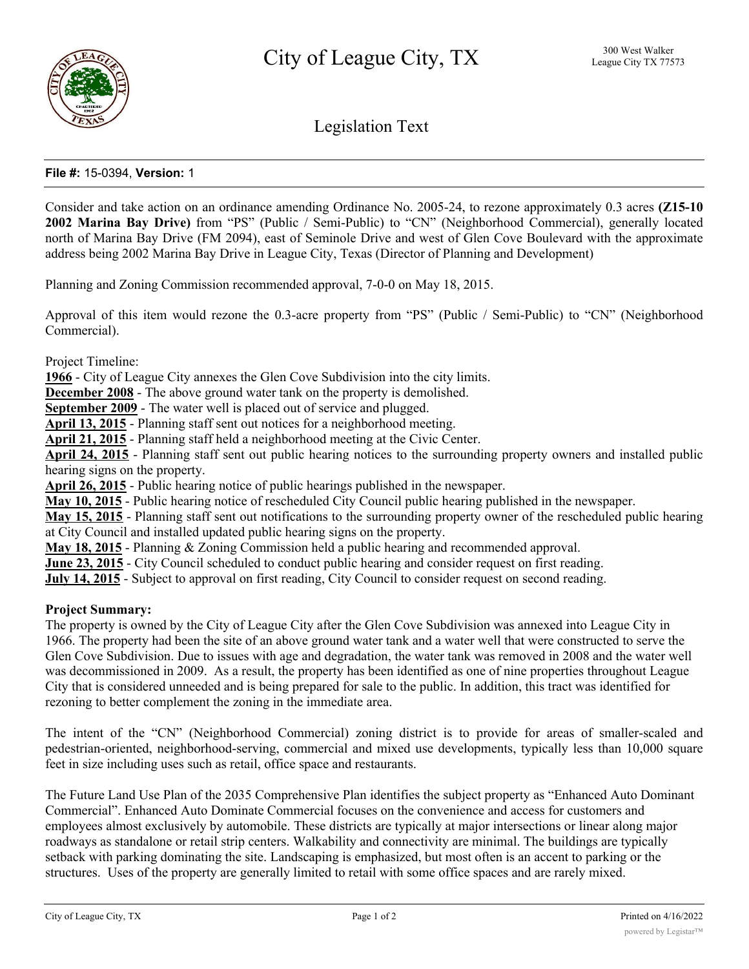

# Legislation Text

# **File #:** 15-0394, **Version:** 1

Consider and take action on an ordinance amending Ordinance No. 2005-24, to rezone approximately 0.3 acres **(Z15-10 2002 Marina Bay Drive)** from "PS" (Public / Semi-Public) to "CN" (Neighborhood Commercial), generally located north of Marina Bay Drive (FM 2094), east of Seminole Drive and west of Glen Cove Boulevard with the approximate address being 2002 Marina Bay Drive in League City, Texas (Director of Planning and Development)

Planning and Zoning Commission recommended approval, 7-0-0 on May 18, 2015.

Approval of this item would rezone the 0.3-acre property from "PS" (Public / Semi-Public) to "CN" (Neighborhood Commercial).

Project Timeline:

**1966** - City of League City annexes the Glen Cove Subdivision into the city limits.

**December 2008** - The above ground water tank on the property is demolished.

**September 2009** - The water well is placed out of service and plugged.

**April 13, 2015** - Planning staff sent out notices for a neighborhood meeting.

**April 21, 2015** - Planning staff held a neighborhood meeting at the Civic Center.

**April 24, 2015** - Planning staff sent out public hearing notices to the surrounding property owners and installed public hearing signs on the property.

**April 26, 2015** - Public hearing notice of public hearings published in the newspaper.

**May 10, 2015** - Public hearing notice of rescheduled City Council public hearing published in the newspaper.

**May 15, 2015** - Planning staff sent out notifications to the surrounding property owner of the rescheduled public hearing at City Council and installed updated public hearing signs on the property.

**May 18, 2015** - Planning & Zoning Commission held a public hearing and recommended approval.

**June 23, 2015** - City Council scheduled to conduct public hearing and consider request on first reading.

**July 14, 2015** - Subject to approval on first reading, City Council to consider request on second reading.

#### **Project Summary:**

The property is owned by the City of League City after the Glen Cove Subdivision was annexed into League City in 1966. The property had been the site of an above ground water tank and a water well that were constructed to serve the Glen Cove Subdivision. Due to issues with age and degradation, the water tank was removed in 2008 and the water well was decommissioned in 2009. As a result, the property has been identified as one of nine properties throughout League City that is considered unneeded and is being prepared for sale to the public. In addition, this tract was identified for rezoning to better complement the zoning in the immediate area.

The intent of the "CN" (Neighborhood Commercial) zoning district is to provide for areas of smaller-scaled and pedestrian-oriented, neighborhood-serving, commercial and mixed use developments, typically less than 10,000 square feet in size including uses such as retail, office space and restaurants.

The Future Land Use Plan of the 2035 Comprehensive Plan identifies the subject property as "Enhanced Auto Dominant Commercial". Enhanced Auto Dominate Commercial focuses on the convenience and access for customers and employees almost exclusively by automobile. These districts are typically at major intersections or linear along major roadways as standalone or retail strip centers. Walkability and connectivity are minimal. The buildings are typically setback with parking dominating the site. Landscaping is emphasized, but most often is an accent to parking or the structures. Uses of the property are generally limited to retail with some office spaces and are rarely mixed.